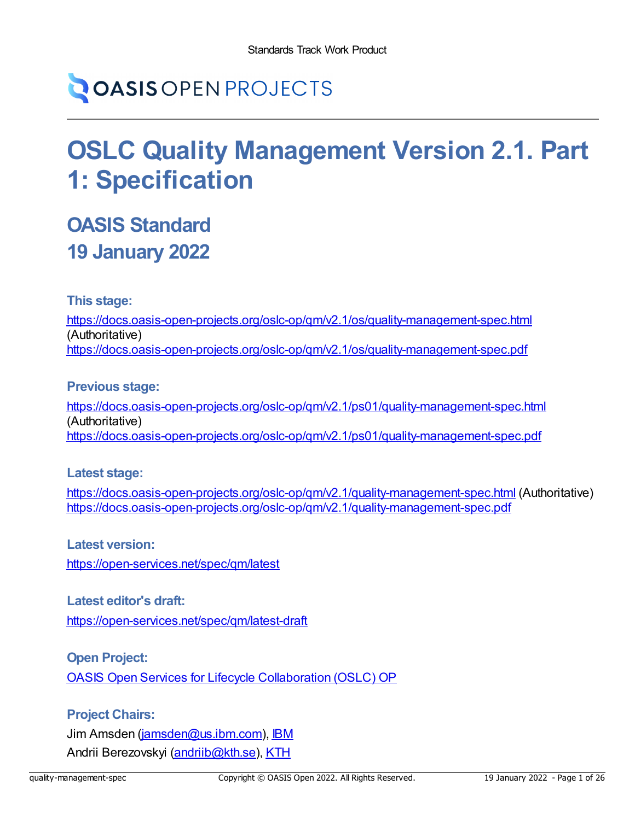# **OASIS OPEN PROJECTS**

# **OSLC Quality Management Version 2.1. Part 1: Specification**

## **OASIS Standard 19 January 2022**

**This stage:**

<https://docs.oasis-open-projects.org/oslc-op/qm/v2.1/os/quality-management-spec.html> (Authoritative) <https://docs.oasis-open-projects.org/oslc-op/qm/v2.1/os/quality-management-spec.pdf>

**Previous stage:**

<https://docs.oasis-open-projects.org/oslc-op/qm/v2.1/ps01/quality-management-spec.html> (Authoritative) <https://docs.oasis-open-projects.org/oslc-op/qm/v2.1/ps01/quality-management-spec.pdf>

**Latest stage:**

https://docs.oasis-open-projects.org/oslc-op/gm/v2.1/quality-management-spec.html (Authoritative) <https://docs.oasis-open-projects.org/oslc-op/qm/v2.1/quality-management-spec.pdf>

**Latest version:**

<https://open-services.net/spec/qm/latest>

**Latest editor's draft:**

<https://open-services.net/spec/qm/latest-draft>

**Open Project:**

OASIS Open Services for Lifecycle [Collaboration](https://open-services.net/about/) (OSLC) OP

#### **Project Chairs:**

Jim Amsden [\(jamsden@us.ibm.com\)](mailto:jamsden@us.ibm.com), [IBM](https://www.ibm.com/) Andrii Berezovskyi [\(andriib@kth.se\)](mailto:andriib@kth.se), [KTH](https://www.kth.se/en)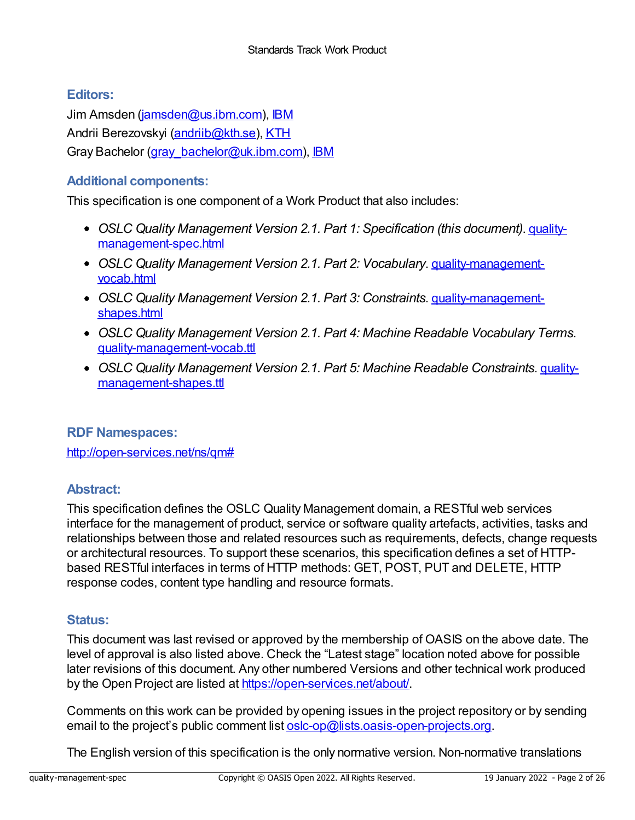#### **Editors:**

Jim Amsden [\(jamsden@us.ibm.com\)](mailto:jamsden@us.ibm.com), [IBM](https://www.ibm.com) Andrii Berezovskyi [\(andriib@kth.se\)](mailto:andriib@kth.se), [KTH](https://www.kth.se/en) Gray Bachelor (gray bachelor@uk.ibm.com), [IBM](https://www.ibm.com)

#### **Additional components:**

This specification is one component of a Work Product that also includes:

- *OSLC Quality Management Version 2.1. Part 1: Specification (this document)*. quality[management-spec.html](https://docs.oasis-open-projects.org/oslc-op/qm/v2.1/os/quality-management-spec.html)
- *OSLC Quality Management Version 2.1. Part 2: Vocabulary*. [quality-management](https://docs.oasis-open-projects.org/oslc-op/qm/v2.1/os/quality-management-vocab.html)vocab.html
- *OSLC Quality Management Version 2.1. Part 3: Constraints*. [quality-management](https://docs.oasis-open-projects.org/oslc-op/qm/v2.1/os/quality-management-shapes.html)shapes.html
- *OSLC Quality Management Version 2.1. Part 4: Machine Readable Vocabulary Terms*. [quality-management-vocab.ttl](https://docs.oasis-open-projects.org/oslc-op/qm/v2.1/os/quality-management-vocab.ttl)
- *OSLC Quality Management Version 2.1. Part 5: Machine Readable Constraints*. quality[management-shapes.ttl](https://docs.oasis-open-projects.org/oslc-op/qm/v2.1/os/quality-management-shapes.ttl)

#### **RDF Namespaces:**

<http://open-services.net/ns/qm#>

#### **Abstract:**

This specification defines the OSLC Quality Management domain, a RESTful web services interface for the management of product, service or software quality artefacts, activities, tasks and relationships between those and related resources such as requirements, defects, change requests or architectural resources. To support these scenarios, this specification defines a set of HTTPbased RESTful interfaces in terms of HTTP methods: GET, POST, PUT and DELETE, HTTP response codes, content type handling and resource formats.

#### **Status:**

This document was last revised or approved by the membership of OASIS on the above date. The level of approval is also listed above. Check the "Latest stage" location noted above for possible later revisions of this document. Any other numbered Versions and other technical work produced by the Open Project are listed at <https://open-services.net/about/>.

Comments on this work can be provided by opening issues in the project repository or by sending email to the project's public comment list [oslc-op@lists.oasis-open-projects.org](mailto:oslc-op@lists.oasis-open-projects.org).

The English version of this specification is the only normative version. Non-normative translations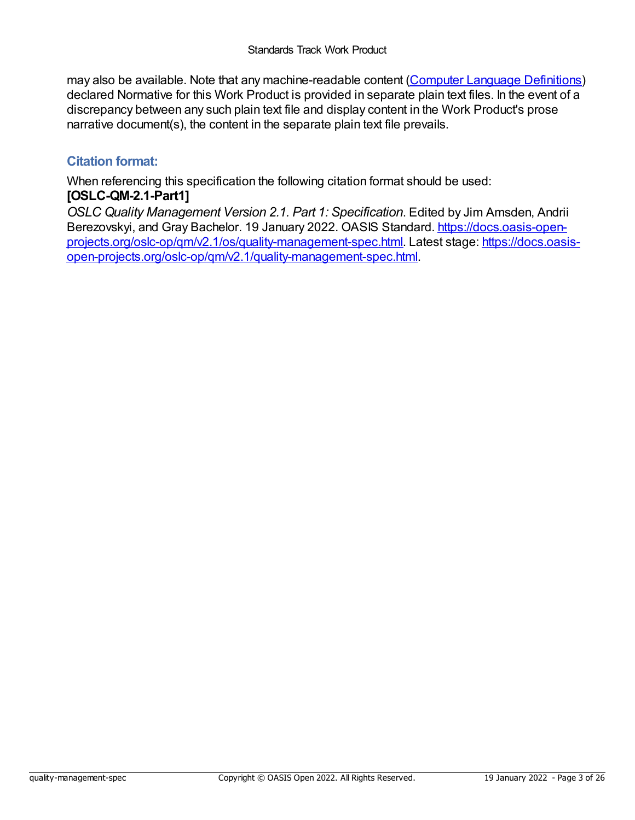may also be available. Note that any machine-readable content (Computer Language [Definitions](https://www.oasis-open.org/policies-guidelines/tc-process#wpComponentsCompLang)) declared Normative for this Work Product is provided in separate plain text files. In the event of a discrepancy between any such plain text file and display content in the Work Product's prose narrative document(s), the content in the separate plain text file prevails.

#### **Citation format:**

When referencing this specification the following citation format should be used: **[OSLC-QM-2.1-Part1]**

*OSLC Quality Management Version 2.1. Part 1: Specification*. Edited by Jim Amsden, Andrii Berezovskyi, and Gray Bachelor. 19 January 2022. OASIS Standard. https://docs.oasis-open[projects.org/oslc-op/qm/v2.1/os/quality-management-spec.html.](https://docs.oasis-open-projects.org/oslc-op/qm/v2.1/quality-management-spec.html) Latest stage: https://docs.oasisopen-projects.org/oslc-op/qm/v2.1/quality-management-spec.html.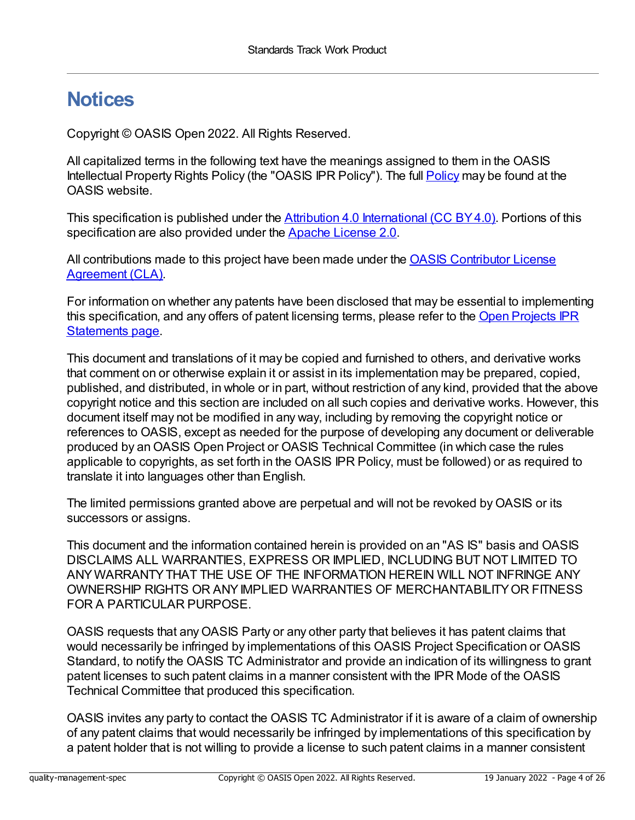## **Notices**

Copyright © OASIS Open 2022. All Rights Reserved.

All capitalized terms in the following text have the meanings assigned to them in the OASIS Intellectual Property Rights [Policy](https://www.oasis-open.org/policies-guidelines/ipr/) (the "OASIS IPR Policy"). The full **Policy** may be found at the OASIS website.

This specification is published under the Attribution 4.0 [International](https://creativecommons.org/licenses/by/4.0/legalcode) (CC BY 4.0). Portions of this specification are also provided under the Apache [License](https://www.apache.org/licenses/LICENSE-2.0) 2.0.

All [contributions](https://www.oasis-open.org/policies-guidelines/open-projects-process#individual-cla-exhibit) made to this project have been made under the **OASIS Contributor License** Agreement (CLA).

For information on whether any patents have been disclosed that may be essential to implementing this [specification,](https://github.com/oasis-open-projects/administration/blob/master/IPR_STATEMENTS.md#open-services-for-lifecycle-collaboration-oslc-open-project) and any offers of patent licensing terms, please refer to the Open Projects IPR Statements page.

This document and translations of it may be copied and furnished to others, and derivative works that comment on or otherwise explain it or assist in its implementation may be prepared, copied, published, and distributed, in whole or in part, without restriction of any kind, provided that the above copyright notice and this section are included on all such copies and derivative works. However, this document itself may not be modified in any way, including by removing the copyright notice or references to OASIS, except as needed for the purpose of developing any document or deliverable produced by an OASIS Open Project or OASIS Technical Committee (in which case the rules applicable to copyrights, as set forth in the OASIS IPR Policy, must be followed) or as required to translate it into languages other than English.

The limited permissions granted above are perpetual and will not be revoked by OASIS or its successors or assigns.

This document and the information contained herein is provided on an "AS IS" basis and OASIS DISCLAIMS ALL WARRANTIES, EXPRESS OR IMPLIED, INCLUDING BUT NOT LIMITED TO ANYWARRANTYTHAT THE USE OF THE INFORMATION HEREIN WILL NOT INFRINGE ANY OWNERSHIP RIGHTS OR ANYIMPLIED WARRANTIES OF MERCHANTABILITYOR FITNESS FOR A PARTICULAR PURPOSE.

OASIS requests that anyOASIS Party or any other party that believes it has patent claims that would necessarily be infringed by implementations of this OASIS Project Specification or OASIS Standard, to notify the OASIS TC Administrator and provide an indication of its willingness to grant patent licenses to such patent claims in a manner consistent with the IPR Mode of the OASIS Technical Committee that produced this specification.

OASIS invites any party to contact the OASIS TC Administrator if it is aware of a claim of ownership of any patent claims that would necessarily be infringed by implementations of this specification by a patent holder that is not willing to provide a license to such patent claims in a manner consistent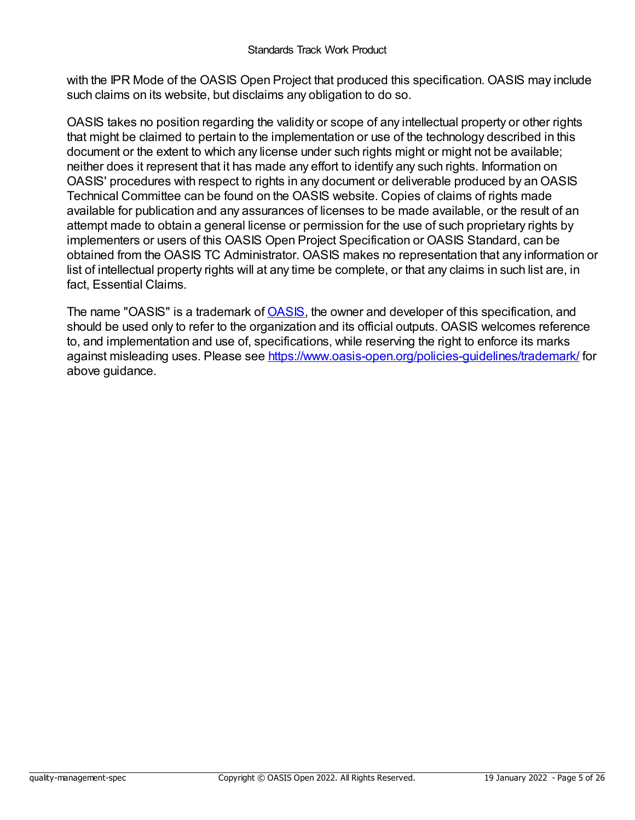with the IPR Mode of the OASIS Open Project that produced this specification. OASIS may include such claims on its website, but disclaims any obligation to do so.

OASIS takes no position regarding the validity or scope of any intellectual property or other rights that might be claimed to pertain to the implementation or use of the technology described in this document or the extent to which any license under such rights might or might not be available; neither does it represent that it has made any effort to identify any such rights. Information on OASIS' procedures with respect to rights in any document or deliverable produced by an OASIS Technical Committee can be found on the OASIS website. Copies of claims of rights made available for publication and any assurances of licenses to be made available, or the result of an attempt made to obtain a general license or permission for the use of such proprietary rights by implementers or users of this OASIS Open Project Specification or OASIS Standard, can be obtained from the OASIS TC Administrator. OASIS makes no representation that any information or list of intellectual property rights will at any time be complete, or that any claims in such list are, in fact, Essential Claims.

The name "[OASIS](https://www.oasis-open.org)" is a trademark of **OASIS**, the owner and developer of this specification, and should be used only to refer to the organization and its official outputs. OASIS welcomes reference to, and implementation and use of, specifications, while reserving the right to enforce its marks against misleading uses. Please see <https://www.oasis-open.org/policies-guidelines/trademark/> for above guidance.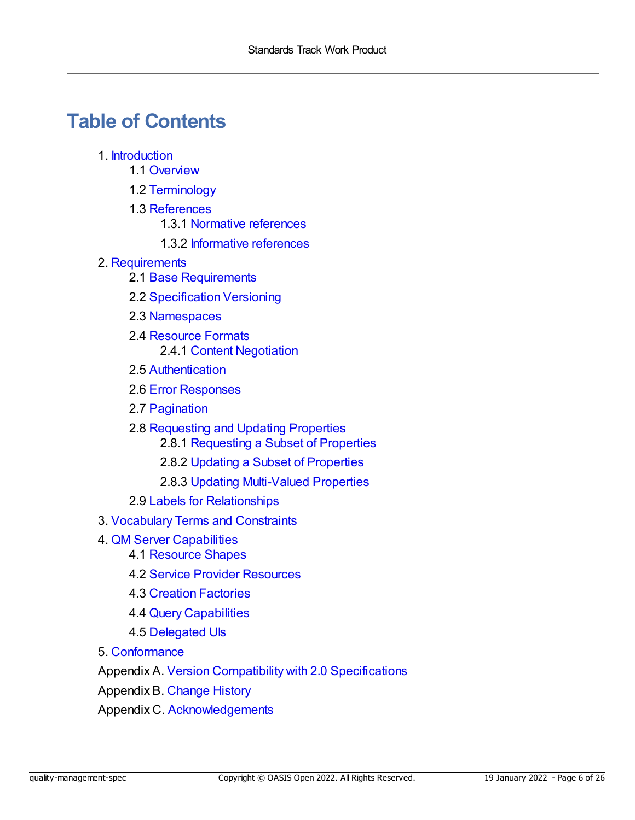## **Table of Contents**

- 1. [Introduction](#page-7-0)
	- 1.1 [Overview](#page-6-0)
	- 1.2 [Terminology](#page-7-1)
	- 1.3 [References](#page-8-0)
		- 1.3.1 Normative [references](#page-8-1)
		- 1.3.2 [Informative](#page-8-2) references
- 2. [Requirements](#page-12-0)
	- 2.1 Base [Requirements](#page-11-0)
	- 2.2 [Specification](#page-11-1) Versioning
	- 2.3 [Namespaces](#page-12-1)
	- 2.4 [Resource](#page-13-0) Formats 2.4.1 Content [Negotiation](#page-13-1)
	- 2.5 [Authentication](#page-13-2)
	- 2.6 Error [Responses](#page-13-3)
	- 2.7 [Pagination](#page-14-0)
	- 2.8 [Requesting](#page-14-1) and Updating Properties
		- 2.8.1 [Requesting](#page-14-2) a Subset of Properties
		- 2.8.2 Updating a Subset of [Properties](#page-14-3)
		- 2.8.3 Updating [Multi-Valued](#page-14-4) Properties
	- 2.9 Labels for [Relationships](#page-15-0)
- 3. [Vocabulary](#page-16-0) Terms and Constraints
- 4. QM Server [Capabilities](#page-17-0)
	- 4.1 [Resource](#page-17-1) Shapes
	- 4.2 Service Provider [Resources](#page-17-2)
	- 4.3 Creation [Factories](#page-17-3)
	- 4.4 Query [Capabilities](#page-17-4)
	- 4.5 [Delegated](#page-18-0) UIs
- 5. [Conformance](#page-20-0)

Appendix A. Version Compatibility with 2.0 [Specifications](#page-23-0)

[Appendix](#page-24-0) B. Change History

Appendix C. [Acknowledgements](#page-25-0)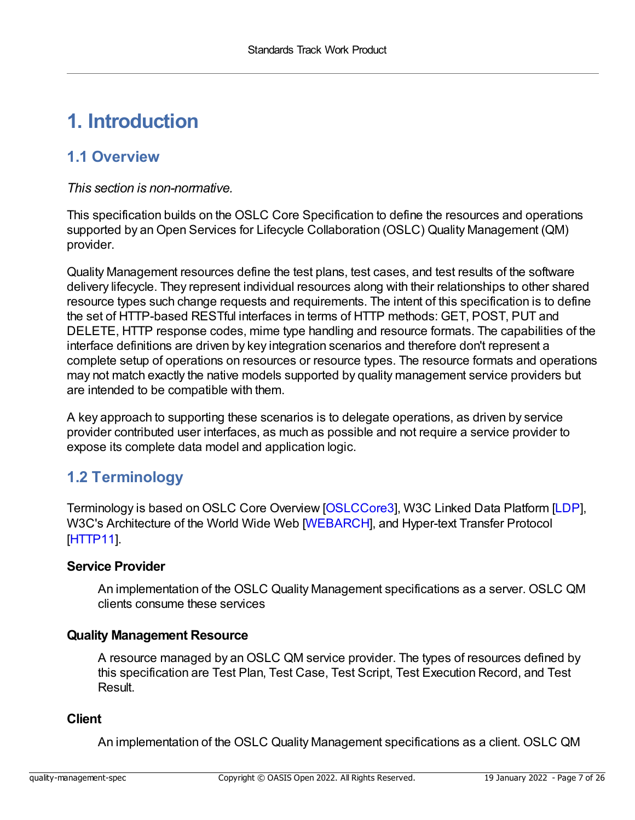## **1. Introduction**

## <span id="page-6-0"></span>**1.1 Overview**

*This section is non-normative.*

This specification builds on the OSLC Core Specification to define the resources and operations supported by an Open Services for Lifecycle Collaboration (OSLC) Quality Management (QM) provider.

Quality Management resources define the test plans, test cases, and test results of the software delivery lifecycle. They represent individual resources along with their relationships to other shared resource types such change requests and requirements. The intent of this specification is to define the set of HTTP-based RESTful interfaces in terms of HTTP methods: GET, POST, PUT and DELETE, HTTP response codes, mime type handling and resource formats. The capabilities of the interface definitions are driven by key integration scenarios and therefore don't represent a complete setup of operations on resources or resource types. The resource formats and operations may not match exactly the native models supported by quality management service providers but are intended to be compatible with them.

A key approach to supporting these scenarios is to delegate operations, as driven by service provider contributed user interfaces, as much as possible and not require a service provider to expose its complete data model and application logic.

## **1.2 Terminology**

Terminology is based on OSLC Core Overview [\[OSLCCore3](#page-7-2)], W3C Linked Data Platform [[LDP\]](#page-8-3), W3C's Architecture of the World Wide Web [\[WEBARCH](#page-9-0)], and Hyper-text Transfer Protocol [[HTTP11](#page-8-4)].

#### **Service Provider**

An implementation of the OSLC Quality Management specifications as a server. OSLC QM clients consume these services

#### **Quality Management Resource**

A resource managed by an OSLC QM service provider. The types of resources defined by this specification are Test Plan, Test Case, Test Script, Test Execution Record, and Test Result.

#### **Client**

An implementation of the OSLC Quality Management specifications as a client. OSLC QM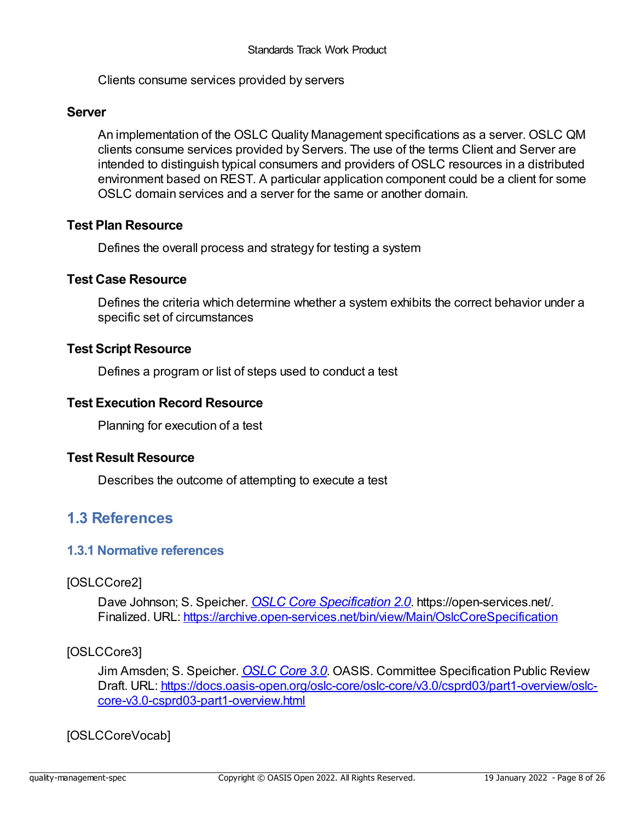<span id="page-7-1"></span><span id="page-7-0"></span>Clients consume services provided by servers

#### **Server**

An implementation of the OSLC Quality Management specifications as a server. OSLC QM clients consume services provided by Servers. The use of the terms Client and Server are intended to distinguish typical consumers and providers of OSLC resources in a distributed environment based on REST. A particular application component could be a client for some OSLC domain services and a server for the same or another domain.

#### **Test Plan Resource**

Defines the overall process and strategy for testing a system

#### **Test Case Resource**

Defines the criteria which determine whether a system exhibits the correct behavior under a specific set of circumstances

#### **Test Script Resource**

Defines a program or list of steps used to conduct a test

#### **Test Execution Record Resource**

Planning for execution of a test

#### **Test Result Resource**

Describes the outcome of attempting to execute a test

#### **1.3 References**

#### **1.3.1 Normative references**

#### <span id="page-7-3"></span>[OSLCCore2]

Dave Johnson; S. Speicher. *OSLC Core [Specification](https://archive.open-services.net/bin/view/Main/OslcCoreSpecification) 2.0*. https://open-services.net/. Finalized. URL: <https://archive.open-services.net/bin/view/Main/OslcCoreSpecification>

#### <span id="page-7-2"></span>[OSLCCore3]

Jim Amsden; S. Speicher. *[OSLC](https://docs.oasis-open.org/oslc-core/oslc-core/v3.0/csprd03/part1-overview/oslc-core-v3.0-csprd03-part1-overview.html) Core 3.0*. OASIS. Committee Specification Public Review Draft. URL: [https://docs.oasis-open.org/oslc-core/oslc-core/v3.0/csprd03/part1-overview/oslc](https://docs.oasis-open.org/oslc-core/oslc-core/v3.0/csprd03/part1-overview/oslc-core-v3.0-csprd03-part1-overview.html)core-v3.0-csprd03-part1-overview.html

#### <span id="page-7-4"></span>[OSLCCoreVocab]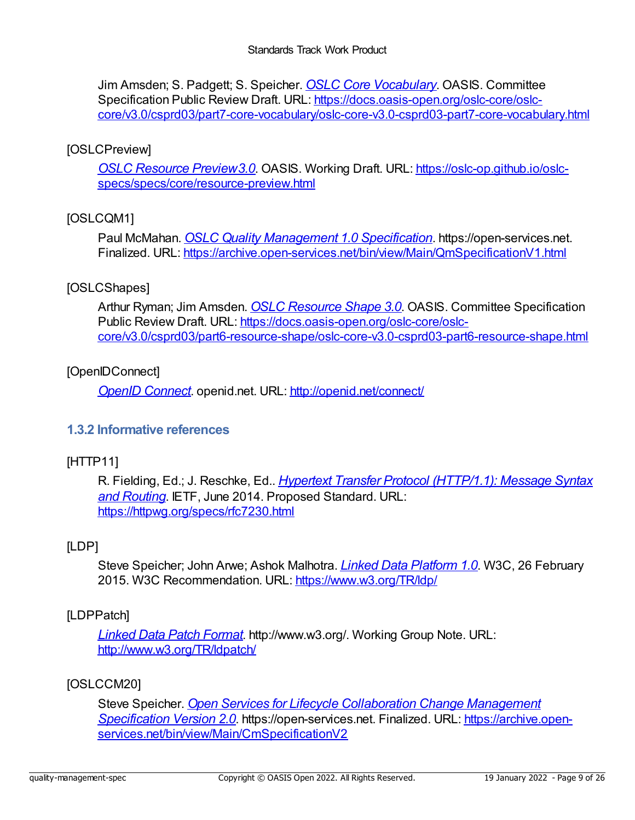<span id="page-8-1"></span><span id="page-8-0"></span>Jim Amsden; S. Padgett; S. Speicher. *OSLC Core [Vocabulary](https://docs.oasis-open.org/oslc-core/oslc-core/v3.0/csprd03/part7-core-vocabulary/oslc-core-v3.0-csprd03-part7-core-vocabulary.html)*. OASIS. Committee Specification Public Review Draft. URL: https://docs.oasis-open.org/oslc-core/oslc[core/v3.0/csprd03/part7-core-vocabulary/oslc-core-v3.0-csprd03-part7-core-vocabulary.html](https://docs.oasis-open.org/oslc-core/oslc-core/v3.0/csprd03/part7-core-vocabulary/oslc-core-v3.0-csprd03-part7-core-vocabulary.html)

#### <span id="page-8-9"></span>[OSLCPreview]

*OSLC Resource [Preview3.0](https://oslc-op.github.io/oslc-specs/specs/core/resource-preview.html)*. OASIS. Working Draft. URL: https://oslc-op.github.io/oslc[specs/specs/core/resource-preview.html](https://oslc-op.github.io/oslc-specs/specs/core/resource-preview.html)

#### <span id="page-8-5"></span>[OSLCQM1]

Paul McMahan. *OSLC Quality [Management](https://archive.open-services.net/bin/view/Main/QmSpecificationV1.html) 1.0 Specification*. https://open-services.net. Finalized. URL: <https://archive.open-services.net/bin/view/Main/QmSpecificationV1.html>

#### <span id="page-8-10"></span>[OSLCShapes]

Arthur Ryman; Jim Amsden. *OSLC [Resource](https://docs.oasis-open.org/oslc-core/oslc-core/v3.0/csprd03/part6-resource-shape/oslc-core-v3.0-csprd03-part6-resource-shape.html) Shape 3.0*. OASIS. Committee Specification Public Review Draft. URL: https://docs.oasis-open.org/oslc-core/oslc[core/v3.0/csprd03/part6-resource-shape/oslc-core-v3.0-csprd03-part6-resource-shape.html](https://docs.oasis-open.org/oslc-core/oslc-core/v3.0/csprd03/part6-resource-shape/oslc-core-v3.0-csprd03-part6-resource-shape.html)

#### <span id="page-8-7"></span>[OpenIDConnect]

*OpenID [Connect](http://openid.net/connect/)*. openid.net. URL: <http://openid.net/connect/>

#### <span id="page-8-2"></span>**1.3.2 Informative references**

#### <span id="page-8-4"></span>[HTTP11]

R. Fielding, Ed.; J. Reschke, Ed.. *Hypertext Transfer Protocol [\(HTTP/1.1\):](https://httpwg.org/specs/rfc7230.html) Message Syntax and Routing*. IETF, June 2014. Proposed Standard. URL: <https://httpwg.org/specs/rfc7230.html>

#### <span id="page-8-3"></span>[LDP]

Steve Speicher; John Arwe; Ashok Malhotra. *Linked Data [Platform](https://www.w3.org/TR/ldp/) 1.0*. W3C, 26 February 2015. W3C Recommendation. URL: <https://www.w3.org/TR/ldp/>

#### <span id="page-8-8"></span>[LDPPatch]

*Linked Data Patch [Format](http://www.w3.org/TR/ldpatch/)*. http://www.w3.org/. Working Group Note. URL: <http://www.w3.org/TR/ldpatch/>

#### <span id="page-8-6"></span>[OSLCCM20]

Steve Speicher. *Open Services for Lifecycle Collaboration Change Management Specification Version 2.0*. [https://open-services.net.](https://archive.open-services.net/bin/view/Main/CmSpecificationV2) Finalized. URL: https://archive.open[services.net/bin/view/Main/CmSpecificationV2](https://archive.open-services.net/bin/view/Main/CmSpecificationV2)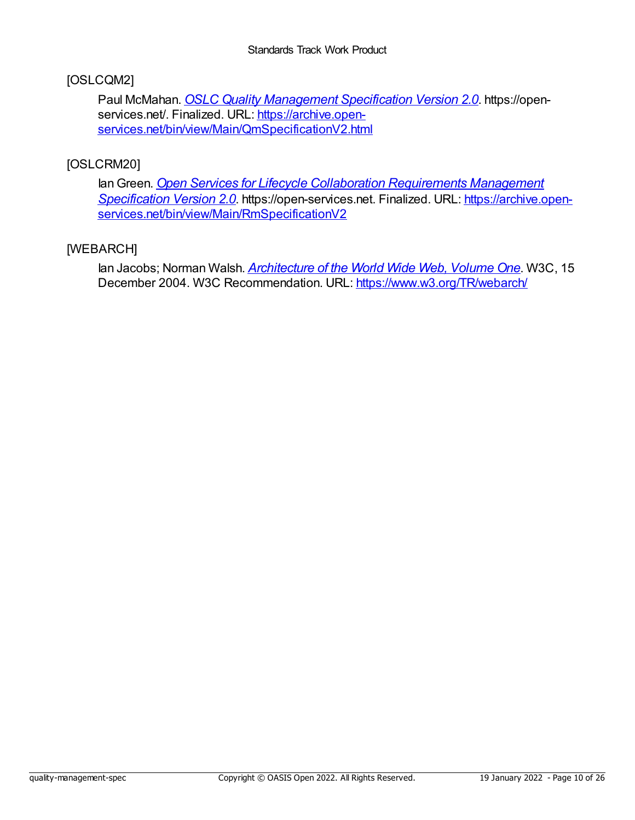#### <span id="page-9-1"></span>[OSLCQM2]

Paul McMahan. *OSLC Quality [Management](https://archive.open-services.net/bin/view/Main/QmSpecificationV2.html) Specification Version 2.0*. https://openservices.net/. Finalized. URL: https://archive.open[services.net/bin/view/Main/QmSpecificationV2.html](https://archive.open-services.net/bin/view/Main/QmSpecificationV2.html)

#### <span id="page-9-2"></span>[OSLCRM20]

IanGreen. *Open Services for Lifecycle Collaboration Requirements Management Specification Version 2.0*. [https://open-services.net.](https://archive.open-services.net/bin/view/Main/RmSpecificationV2) Finalized. URL: https://archive.open[services.net/bin/view/Main/RmSpecificationV2](https://archive.open-services.net/bin/view/Main/RmSpecificationV2)

#### <span id="page-9-0"></span>[WEBARCH]

Ian Jacobs; Norman Walsh. *[Architecture](https://www.w3.org/TR/webarch/) of the World Wide Web, Volume One*. W3C, 15 December 2004. W3C Recommendation. URL: <https://www.w3.org/TR/webarch/>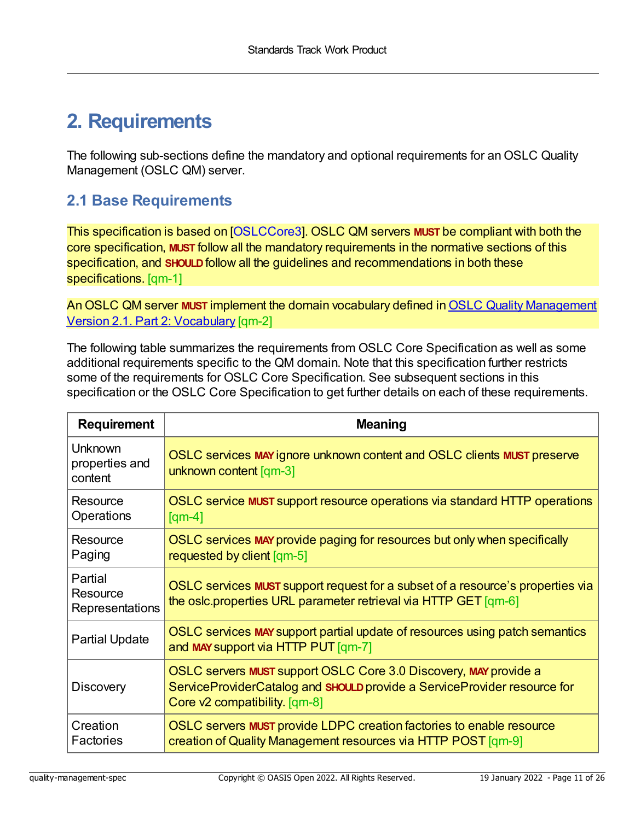## **2. Requirements**

The following sub-sections define the mandatory and optional requirements for an OSLC Quality Management (OSLC QM) server.

## **2.1 Base Requirements**

<span id="page-10-0"></span>This specification is based on [\[OSLCCore3](#page-7-2)]. OSLC QM servers **MUST** be compliant with both the core specification, **MUST** follow all the mandatory requirements in the normative sections of this specification, and **SHOULD**follow all the guidelines and recommendations in both these specifications. [qm-1]

<span id="page-10-1"></span>An OSLC QM server **MUST** implement the domain vocabulary defined in OSLC Quality [Management](https://docs.oasis-open-projects.org/oslc-op/qm/v2.1/os/quality-management-vocab.html) Version 2.1. Part 2: Vocabulary [qm-2]

The following table summarizes the requirements from OSLC Core Specification as well as some additional requirements specific to the QM domain. Note that this specification further restricts some of the requirements for OSLC Core Specification. See subsequent sections in this specification or the OSLC Core Specification to get further details on each of these requirements.

<span id="page-10-8"></span><span id="page-10-7"></span><span id="page-10-6"></span><span id="page-10-5"></span><span id="page-10-4"></span><span id="page-10-3"></span><span id="page-10-2"></span>

| <b>Requirement</b>                     | <b>Meaning</b>                                                                                                                                                                |  |
|----------------------------------------|-------------------------------------------------------------------------------------------------------------------------------------------------------------------------------|--|
| Unknown<br>properties and<br>content   | OSLC services MAY ignore unknown content and OSLC clients MUST preserve<br>unknown content [qm-3]                                                                             |  |
| Resource<br>Operations                 | OSLC service MUST support resource operations via standard HTTP operations<br>$\lceil qm-4 \rceil$                                                                            |  |
| Resource<br>Paging                     | OSLC services MAY provide paging for resources but only when specifically<br>requested by client [qm-5]                                                                       |  |
| Partial<br>Resource<br>Representations | OSLC services MUST support request for a subset of a resource's properties via<br>the oslc.properties URL parameter retrieval via HTTP GET [qm-6]                             |  |
| <b>Partial Update</b>                  | OSLC services MAY support partial update of resources using patch semantics<br>and MAY support via HTTP PUT [qm-7]                                                            |  |
| <b>Discovery</b>                       | OSLC servers MUST support OSLC Core 3.0 Discovery, MAY provide a<br>ServiceProviderCatalog and SHOULD provide a ServiceProvider resource for<br>Core v2 compatibility. [qm-8] |  |
| Creation<br>Factories                  | OSLC servers MUST provide LDPC creation factories to enable resource<br>creation of Quality Management resources via HTTP POST [qm-9]                                         |  |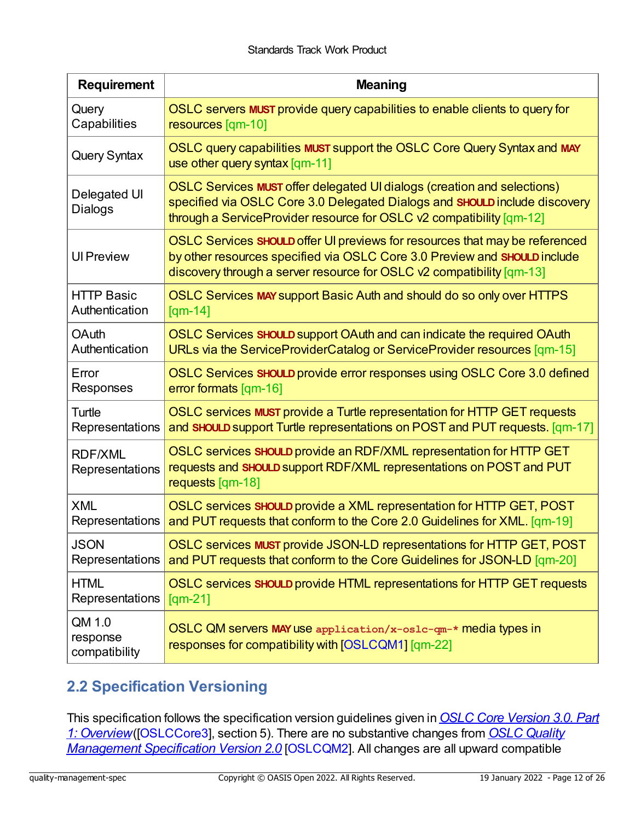<span id="page-11-8"></span><span id="page-11-7"></span><span id="page-11-6"></span><span id="page-11-5"></span><span id="page-11-4"></span><span id="page-11-3"></span><span id="page-11-2"></span><span id="page-11-0"></span>

| <b>Requirement</b>                  | <b>Meaning</b>                                                                                                                                                                                                                                    |  |  |
|-------------------------------------|---------------------------------------------------------------------------------------------------------------------------------------------------------------------------------------------------------------------------------------------------|--|--|
| Query                               | OSLC servers MUST provide query capabilities to enable clients to query for                                                                                                                                                                       |  |  |
| Capabilities                        | resources [qm-10]                                                                                                                                                                                                                                 |  |  |
| <b>Query Syntax</b>                 | OSLC query capabilities MUST support the OSLC Core Query Syntax and MAY<br>use other query syntax $\lceil qm-11 \rceil$                                                                                                                           |  |  |
| Delegated UI<br>Dialogs             | OSLC Services MUST offer delegated UI dialogs (creation and selections)<br>specified via OSLC Core 3.0 Delegated Dialogs and SHOULD include discovery<br>through a ServiceProvider resource for OSLC v2 compatibility [qm-12]                     |  |  |
| <b>Ul Preview</b>                   | OSLC Services SHOULD offer UI previews for resources that may be referenced<br>by other resources specified via OSLC Core 3.0 Preview and SHOULD include<br>discovery through a server resource for OSLC $v2$ compatibility $\lceil qm-13 \rceil$ |  |  |
| <b>HTTP Basic</b>                   | OSLC Services MAY support Basic Auth and should do so only over HTTPS                                                                                                                                                                             |  |  |
| Authentication                      | $[qm-14]$                                                                                                                                                                                                                                         |  |  |
| <b>OAuth</b>                        | OSLC Services SHOULD support OAuth and can indicate the required OAuth                                                                                                                                                                            |  |  |
| Authentication                      | URLs via the ServiceProviderCatalog or ServiceProvider resources [qm-15]                                                                                                                                                                          |  |  |
| Error                               | OSLC Services SHOULD provide error responses using OSLC Core 3.0 defined                                                                                                                                                                          |  |  |
| Responses                           | error formats [qm-16]                                                                                                                                                                                                                             |  |  |
| Turtle                              | OSLC services MUST provide a Turtle representation for HTTP GET requests                                                                                                                                                                          |  |  |
| Representations                     | and SHOULD support Turtle representations on POST and PUT requests. [qm-17]                                                                                                                                                                       |  |  |
| <b>RDF/XML</b><br>Representations   | OSLC services SHOULD provide an RDF/XML representation for HTTP GET<br>requests and SHOULD support RDF/XML representations on POST and PUT<br>requests [qm-18]                                                                                    |  |  |
| <b>XML</b>                          | OSLC services SHOULD provide a XML representation for HTTP GET, POST                                                                                                                                                                              |  |  |
| Representations                     | and PUT requests that conform to the Core 2.0 Guidelines for XML. [qm-19]                                                                                                                                                                         |  |  |
| <b>JSON</b>                         | OSLC services MUST provide JSON-LD representations for HTTP GET, POST                                                                                                                                                                             |  |  |
| Representations                     | and PUT requests that conform to the Core Guidelines for JSON-LD [qm-20]                                                                                                                                                                          |  |  |
| <b>HTML</b>                         | OSLC services SHOULD provide HTML representations for HTTP GET requests                                                                                                                                                                           |  |  |
| Representations                     | $\text{[qm-21]}$                                                                                                                                                                                                                                  |  |  |
| QM 1.0<br>response<br>compatibility | OSLC QM servers MAY use application/x-oslc-qm-* media types in<br>responses for compatibility with [OSLCQM1] [qm-22]                                                                                                                              |  |  |

## <span id="page-11-14"></span><span id="page-11-13"></span><span id="page-11-12"></span><span id="page-11-11"></span><span id="page-11-10"></span><span id="page-11-9"></span><span id="page-11-1"></span>**2.2 Specification Versioning**

This specification follows the specification version guidelines given in*OSLC Core Version 3.0. Part 1: Overview*[\(\[OSLCCore3\],](https://archive.open-services.net/bin/view/Main/QmSpecificationV2.html) section 5). There are no substantive changes from *OSLC Quality Management Specification Version 2.0* [[OSLCQM2](#page-9-1)]. All changes are all upward compatible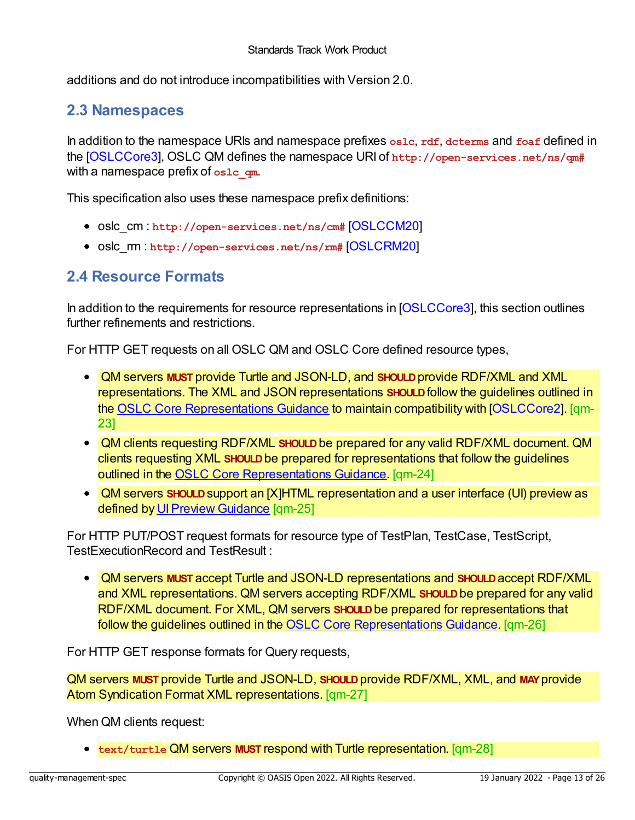<span id="page-12-0"></span>additions and do not introduce incompatibilities with Version 2.0.

### <span id="page-12-1"></span>**2.3 Namespaces**

In addition to the namespace URIs and namespace prefixes **oslc**, **rdf**, **dcterms** and **foaf** defined in the [\[OSLCCore3](#page-7-2)], OSLC QM defines the namespace URI of **http://open-services.net/ns/qm#** with a namespace prefix of **oslc\_qm**.

This specification also uses these namespace prefix definitions:

- oslc cm : http://open-services.net/ns/cm# [\[OSLCCM20](#page-8-6)]
- oslc\_rm : http://open-services.net/ns/rm# [\[OSLCRM20](#page-9-2)]

### **2.4 Resource Formats**

In addition to the requirements for resource representations in [\[OSLCCore3\]](#page-7-2), this section outlines further refinements and restrictions.

For HTTP GET requests on all OSLC QM and OSLC Core defined resource types,

- <span id="page-12-2"></span>QM servers **MUST** provide Turtle and JSON-LD, and **SHOULD**provide RDF/XML and XML representations. The XML and JSON representations **SHOULD**follow the guidelines outlined in the OSLC Core [Representations](http://open-services.net/bin/view/Main/OSLCCoreSpecAppendixRepresentations) Guidance to maintain compatibility with [\[OSLCCore2\]](#page-7-3). [qm-23]
- <span id="page-12-3"></span>QM clients requesting RDF/XML **SHOULD**be prepared for any valid RDF/XML document. QM clients requesting XML **SHOULD**be prepared for representations that follow the guidelines outlined in the OSLC Core [Representations](http://open-services.net/bin/view/Main/OSLCCoreSpecAppendixRepresentations) Guidance. [qm-24]
- <span id="page-12-4"></span>QM servers **SHOULD**support an [X]HTML representation and a user interface (UI) preview as defined by UI Preview Guidance [qm-25]

For HTTP PUT/POST request formats for resource type of TestPlan, TestCase, TestScript, TestExecutionRecord and TestResult :

<span id="page-12-5"></span>QM servers **MUST** accept Turtle and JSON-LD representations and **SHOULD**accept RDF/XML and XML representations. QM servers accepting RDF/XML **SHOULD**be prepared for any valid RDF/XML document. For XML, QM servers **SHOULD**be prepared for representations that follow the guidelines outlined in the OSLC Core [Representations](http://open-services.net/bin/view/Main/OSLCCoreSpecAppendixRepresentations) Guidance. [qm-26]

For HTTP GET response formats for Query requests,

<span id="page-12-6"></span>QM servers **MUST** provide Turtle and JSON-LD, **SHOULD**provide RDF/XML, XML, and **MAY**provide Atom Syndication Format XML representations. [qm-27]

When QM clients request:

<span id="page-12-7"></span>**text/turtle** QM servers **MUST** respond with Turtle representation. [qm-28]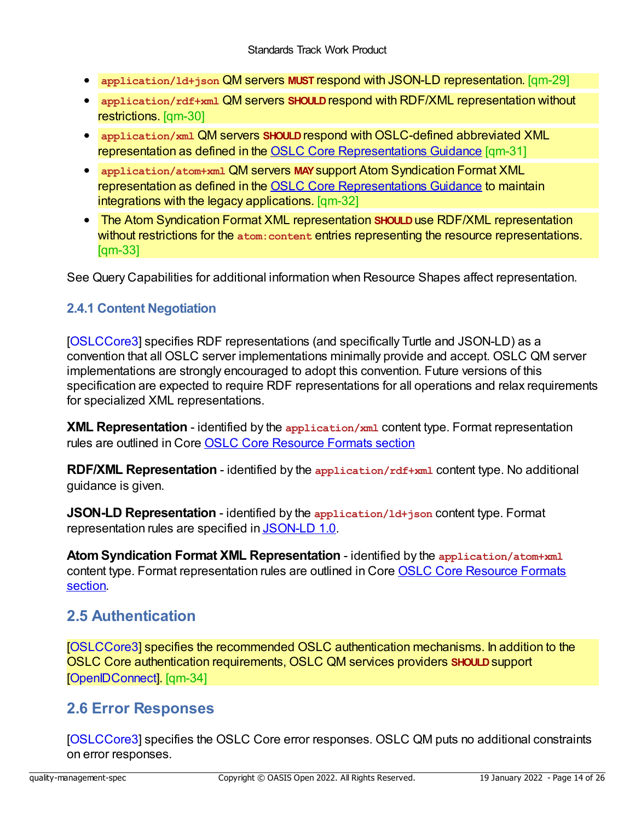- <span id="page-13-4"></span><span id="page-13-0"></span>**application/ld+json** QM servers **MUST** respond with JSON-LD representation. [qm-29]
- <span id="page-13-5"></span>**application/rdf+xml QM servers SHOULD** respond with RDF/XML representation without restrictions. [qm-30]
- <span id="page-13-6"></span>**•** application/xml QM servers **SHOULD** respond with OSLC-defined abbreviated XML representation as defined in the OSLC Core [Representations](http://open-services.net/bin/view/Main/OSLCCoreSpecAppendixRepresentations) Guidance [qm-31]
- <span id="page-13-7"></span>**application/atom+xml** QM servers **MAY**support Atom Syndication Format XML representation as defined in the OSLC Core [Representations](http://open-services.net/bin/view/Main/OSLCCoreSpecAppendixRepresentations) Guidance to maintain integrations with the legacy applications. [qm-32]
- <span id="page-13-8"></span>The Atom Syndication Format XML representation **SHOULD**use RDF/XML representation without restrictions for the **atom:content** entries representing the resource representations. [qm-33]

See Query Capabilities for additional information when Resource Shapes affect representation.

#### <span id="page-13-1"></span>**2.4.1 Content Negotiation**

[[OSLCCore3\]](#page-7-2) specifies RDF representations (and specifically Turtle and JSON-LD) as a convention that all OSLC server implementations minimally provide and accept. OSLC QM server implementations are strongly encouraged to adopt this convention. Future versions of this specification are expected to require RDF representations for all operations and relax requirements for specialized XML representations.

**XML Representation** - identified by the **application/xml** content type. Format representation rules are outlined in Core OSLC Core [Resource](http://open-services.net/bin/view/Main/OSLCCoreSpecAppendixRepresentations) Formats section

**RDF/XML Representation** - identified by the **application/rdf+xml** content type. No additional guidance is given.

**JSON-LD Representation** - identified by the **application/ld+json** content type. Format representation rules are specified in [JSON-LD](http://www.w3.org/TR/json-ld/) 1.0.

**AtomSyndication Format XML Representation** - identified by the **application/atom+xml** content type. Format [representation](http://open-services.net/bin/view/Main/OSLCCoreSpecAppendixRepresentations) rules are outlined in Core OSLC Core Resource Formats section.

### <span id="page-13-2"></span>**2.5 Authentication**

<span id="page-13-9"></span>[[OSLCCore3\]](#page-7-2) specifies the recommended OSLC authentication mechanisms. In addition to the OSLC Core authentication requirements, OSLC QM services providers **SHOULD**support [[OpenIDConnect\]](#page-8-7). [qm-34]

### <span id="page-13-3"></span>**2.6 Error Responses**

[[OSLCCore3\]](#page-7-2) specifies the OSLC Core error responses. OSLC QM puts no additional constraints on error responses.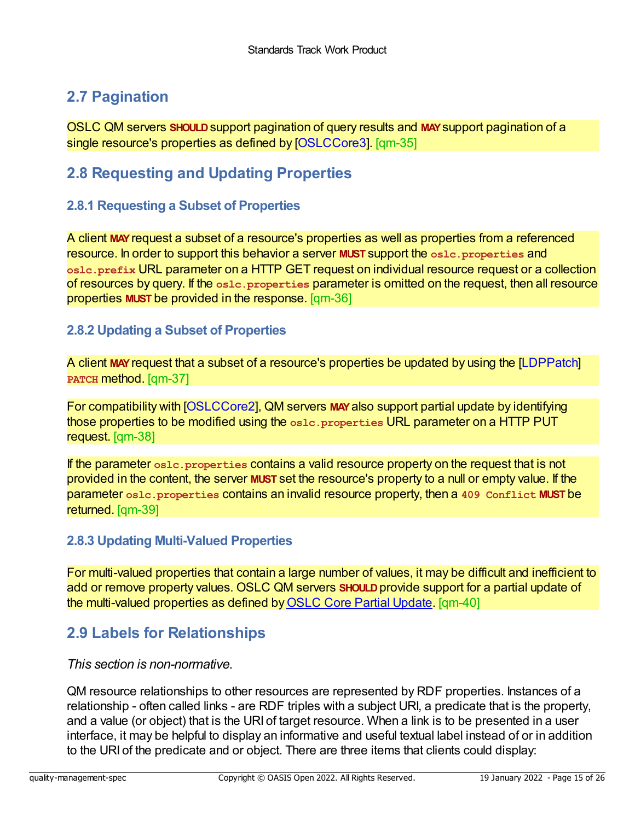## <span id="page-14-0"></span>**2.7 Pagination**

<span id="page-14-5"></span>OSLC QM servers **SHOULD**support pagination of query results and **MAY**support pagination of a single resource's properties as defined by [\[OSLCCore3](#page-7-2)]. [qm-35]

### <span id="page-14-1"></span>**2.8 Requesting and Updating Properties**

#### <span id="page-14-2"></span>**2.8.1 Requesting a Subset of Properties**

<span id="page-14-6"></span>A client **MAY**request a subset of a resource's properties as well as properties from a referenced resource. In order to support this behavior a server **MUST** support the **oslc.properties** and **oslc.prefix** URL parameter on a HTTP GET request on individual resource request or a collection of resources by query. If the **oslc.properties** parameter is omitted on the request, then all resource properties **MUST** be provided in the response. [qm-36]

#### <span id="page-14-3"></span>**2.8.2 Updating a Subset of Properties**

<span id="page-14-7"></span>A client **MAY**request that a subset of a resource's properties be updated by using the [\[LDPPatch](#page-8-8)] **PATCH** method. [qm-37]

<span id="page-14-8"></span>For compatibility with [\[OSLCCore2](#page-7-3)], QM servers **MAY**also support partial update by identifying those properties to be modified using the **oslc.properties** URL parameter on a HTTP PUT request. [qm-38]

<span id="page-14-9"></span>If the parameter **oslc.properties** contains a valid resource property on the request that is not provided in the content, the server **MUST** set the resource's property to a null or empty value. If the parameter **oslc.properties** contains an invalid resource property, then a **409 Conflict MUST** be returned. [qm-39]

#### <span id="page-14-4"></span>**2.8.3 Updating Multi-Valued Properties**

<span id="page-14-10"></span>For multi-valued properties that contain a large number of values, it may be difficult and inefficient to add or remove property values. OSLC QM servers **SHOULD**provide support for a partial update of the multi-valued properties as defined byOSLC Core Partial [Update](http://open-services.net/bin/view/Main/OslcCorePartialUpdate). [qm-40]

### **2.9 Labels for Relationships**

*This section is non-normative.*

QM resource relationships to other resources are represented by RDF properties. Instances of a relationship - often called links - are RDF triples with a subject URI, a predicate that is the property, and a value (or object) that is the URI of target resource. When a link is to be presented in a user interface, it may be helpful to display an informative and useful textual label instead of or in addition to the URI of the predicate and or object. There are three items that clients could display: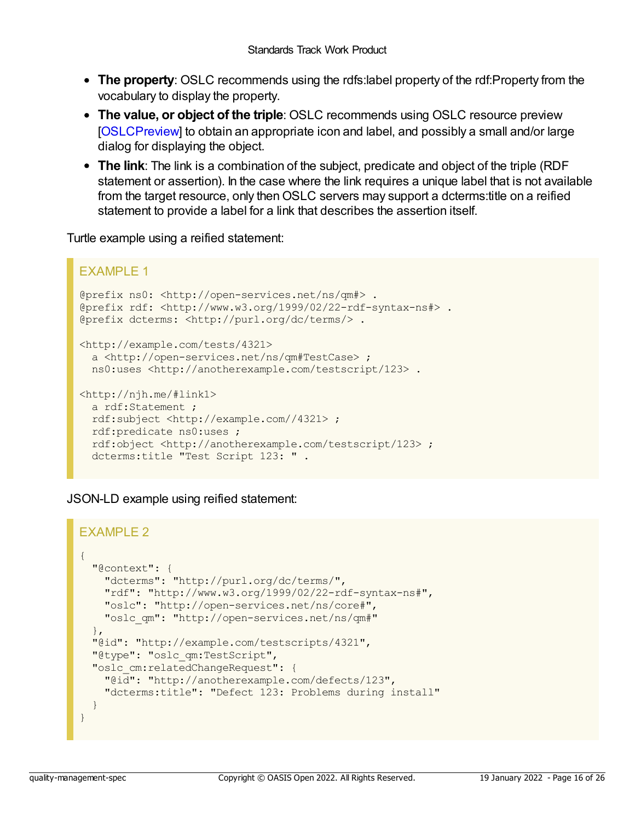- <span id="page-15-0"></span>**The property**: OSLC recommends using the rdfs:label property of the rdf:Property from the vocabulary to display the property.
- **The value, or object of the triple**: OSLC recommends using OSLC resource preview [[OSLCPreview](#page-8-9)] to obtain an appropriate icon and label, and possibly a small and/or large dialog for displaying the object.
- **The link**: The link is a combination of the subject, predicate and object of the triple (RDF statement or assertion). In the case where the link requires a unique label that is not available from the target resource, only then OSLC servers may support a dcterms: title on a reified statement to provide a label for a link that describes the assertion itself.

Turtle example using a reified statement:

```
EXAMPLE 1
@prefix ns0: <http://open-services.net/ns/qm#> .
@prefix rdf: <http://www.w3.org/1999/02/22-rdf-syntax-ns#> .
@prefix dcterms: <http://purl.org/dc/terms/> .
<http://example.com/tests/4321>
  a <http://open-services.net/ns/qm#TestCase> ;
  ns0:uses <http://anotherexample.com/testscript/123> .
<http://njh.me/#link1>
  a rdf:Statement ;
  rdf:subject <http://example.com//4321> ;
  rdf:predicate ns0:uses ;
  rdf:object <http://anotherexample.com/testscript/123> ;
  dcterms:title "Test Script 123: " .
```
JSON-LD example using reified statement:

```
EXAMPLE 2
{
 "@context": {
   "dcterms": "http://purl.org/dc/terms/",
   "rdf": "http://www.w3.org/1999/02/22-rdf-syntax-ns#",
   "oslc": "http://open-services.net/ns/core#",
   "oslc_qm": "http://open-services.net/ns/qm#"
  },
 "@id": "http://example.com/testscripts/4321",
 "@type": "oslc_qm:TestScript",
 "oslc_cm:relatedChangeRequest": {
   "@id": "http://anotherexample.com/defects/123",
   "dcterms:title": "Defect 123: Problems during install"
  }
}
```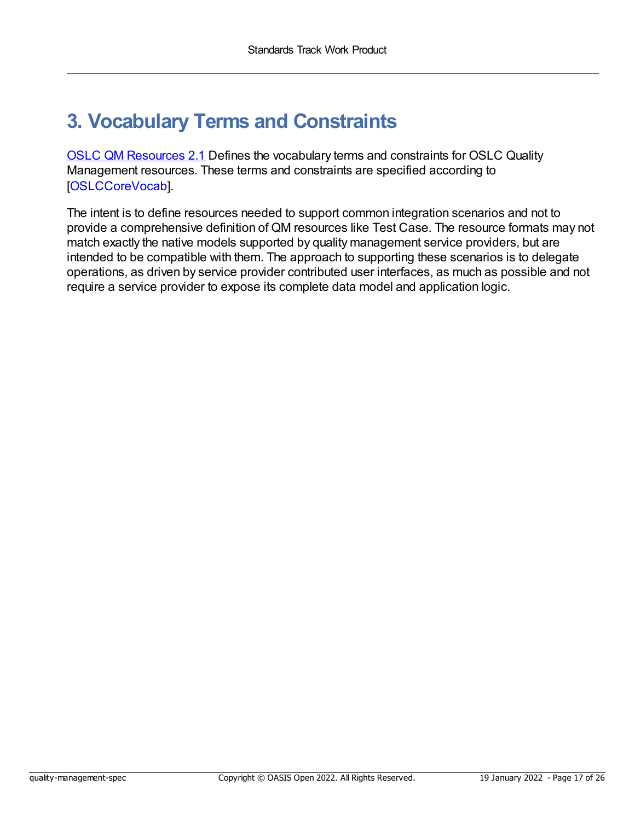## <span id="page-16-0"></span>**3. Vocabulary Terms and Constraints**

OSLC QM [Resources](https://docs.oasis-open-projects.org/oslc-op/qm/v2.1/os/quality-management-vocab.html) 2.1 Defines the vocabulary terms and constraints for OSLC Quality Management resources. These terms and constraints are specified according to [[OSLCCoreVocab](#page-7-4)].

The intent is to define resources needed to support common integration scenarios and not to provide a comprehensive definition of QM resources like Test Case. The resource formats may not match exactly the native models supported by quality management service providers, but are intended to be compatible with them. The approach to supporting these scenarios is to delegate operations, as driven by service provider contributed user interfaces, as much as possible and not require a service provider to expose its complete data model and application logic.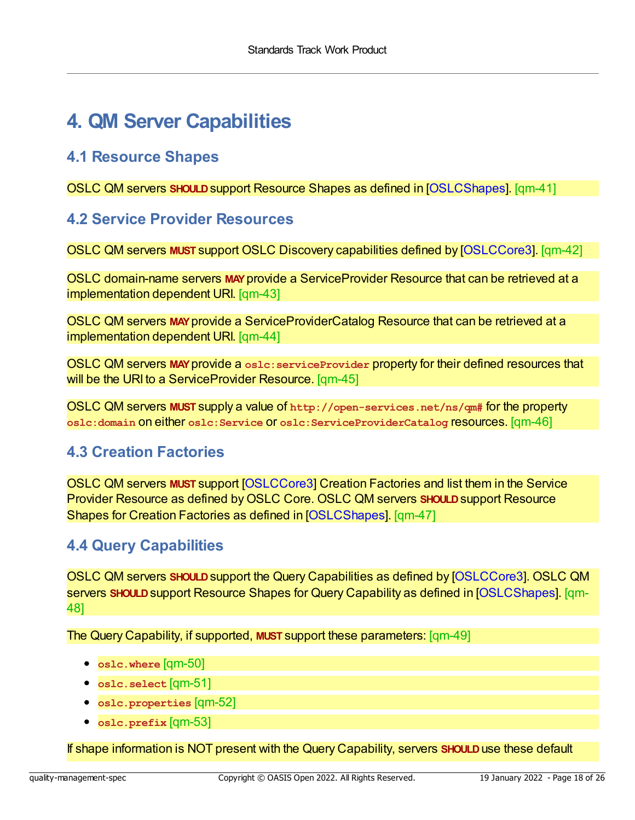## <span id="page-17-0"></span>**4. QM Server Capabilities**

### <span id="page-17-1"></span>**4.1 Resource Shapes**

<span id="page-17-5"></span>OSLC QM servers **SHOULD**support Resource Shapes as defined in [\[OSLCShapes\]](#page-8-10). [qm-41]

### <span id="page-17-2"></span>**4.2 Service Provider Resources**

<span id="page-17-6"></span>OSLC QM servers **MUST** support OSLC Discovery capabilities defined by [\[OSLCCore3](#page-7-2)]. [qm-42]

<span id="page-17-7"></span>OSLC domain-name servers **MAY**provide a ServiceProvider Resource that can be retrieved at a implementation dependent URI. [qm-43]

<span id="page-17-8"></span>OSLC QM servers **MAY**provide a ServiceProviderCatalog Resource that can be retrieved at a implementation dependent URI. [qm-44]

<span id="page-17-9"></span>OSLC QM servers **MAY**provide a **oslc:serviceProvider** property for their defined resources that will be the URI to a ServiceProvider Resource. [qm-45]

<span id="page-17-10"></span>OSLC QM servers **MUST** supply a value of **http://open-services.net/ns/qm#** for the property **oslc:domain** on either **oslc:Service** or **oslc:ServiceProviderCatalog** resources. [qm-46]

### <span id="page-17-3"></span>**4.3 Creation Factories**

<span id="page-17-11"></span>OSLC QM servers **MUST** support [\[OSLCCore3](#page-7-2)] Creation Factories and list them in the Service Provider Resource as defined byOSLC Core. OSLC QM servers **SHOULD**support Resource Shapes for Creation Factories as defined in [\[OSLCShapes](#page-8-10)]. [qm-47]

### <span id="page-17-4"></span>**4.4 Query Capabilities**

<span id="page-17-12"></span>OSLC QM servers **SHOULD**support the Query Capabilities as defined by [\[OSLCCore3\]](#page-7-2). OSLC QM servers **SHOULD**support Resource Shapes for Query Capability as defined in [\[OSLCShapes\]](#page-8-10). [qm-48]

<span id="page-17-13"></span>The Query Capability, if supported, **MUST** support these parameters: [qm-49]

- <span id="page-17-14"></span>**oslc.where** [qm-50]
- <span id="page-17-15"></span>**oslc.select** [qm-51]
- <span id="page-17-16"></span>**oslc.properties** [qm-52]
- <span id="page-17-17"></span>**oslc.prefix** [qm-53]

If shape information is NOT present with the Query Capability, servers **SHOULD**use these default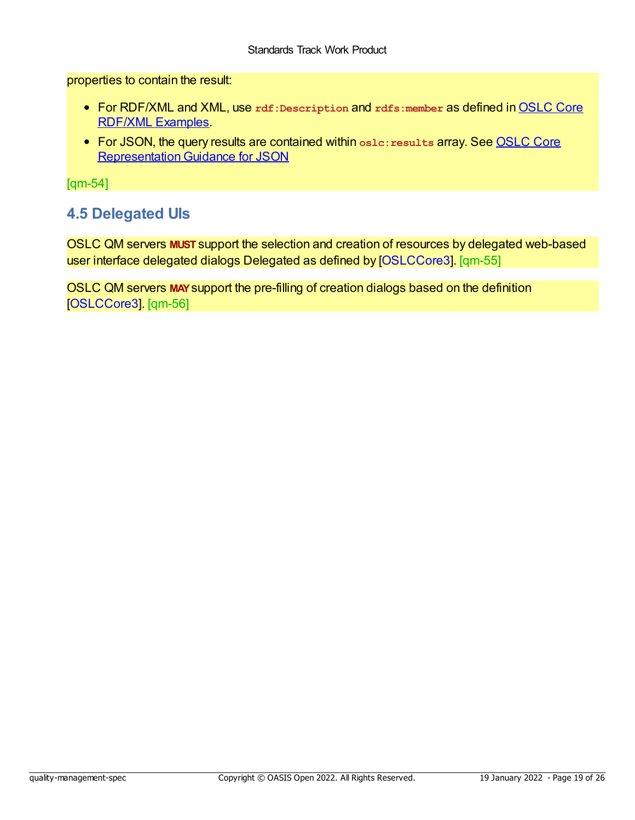<span id="page-18-1"></span>properties to contain the result:

- For RDF/XML and XML, use rdf: Description and rdfs: member as defined in **OSLC Core** RDF/XML Examples.
- For JSON, the query results are contained within **oslc:results** array. See OSLC Core Representation Guidance for JSON

[qm-54]

### <span id="page-18-0"></span>**4.5 Delegated UIs**

<span id="page-18-2"></span>OSLC QM servers **MUST** support the selection and creation of resources by delegated web-based user interface delegated dialogs Delegated as defined by [\[OSLCCore3](#page-7-2)]. [qm-55]

<span id="page-18-3"></span>OSLC QM servers **MAY**support the pre-filling of creation dialogs based on the definition [[OSLCCore3\]](#page-7-2). [qm-56]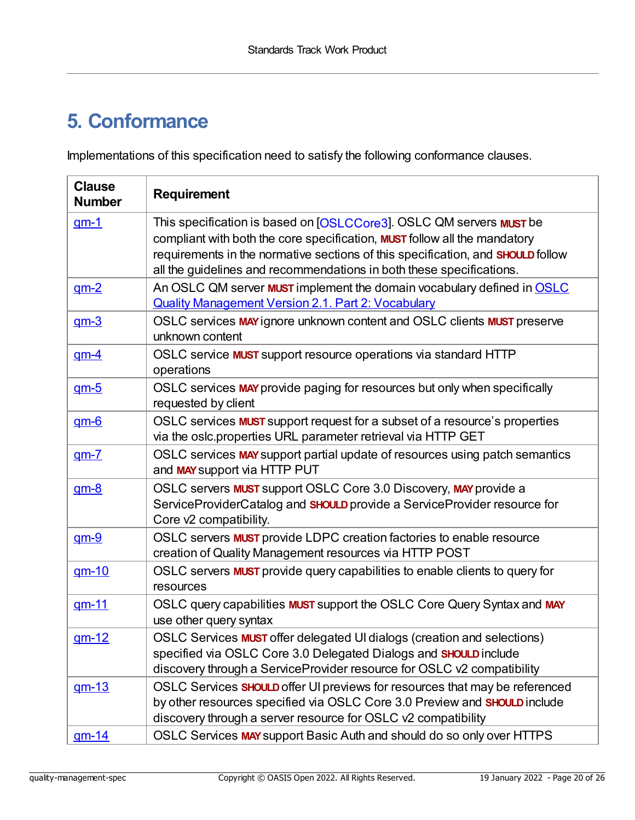## **5. Conformance**

Implementations of this specification need to satisfy the following conformance clauses.

| <b>Clause</b><br><b>Number</b> | <b>Requirement</b>                                                                                                                                                                                                                                                                                                               |
|--------------------------------|----------------------------------------------------------------------------------------------------------------------------------------------------------------------------------------------------------------------------------------------------------------------------------------------------------------------------------|
| $qm-1$                         | This specification is based on [OSLCCore3]. OSLC QM servers <b>MUST</b> be<br>compliant with both the core specification, <b>MUST</b> follow all the mandatory<br>requirements in the normative sections of this specification, and <b>SHOULD</b> follow<br>all the guidelines and recommendations in both these specifications. |
| $qm-2$                         | An OSLC QM server <b>MUST</b> implement the domain vocabulary defined in <b>OSLC</b><br><b>Quality Management Version 2.1. Part 2: Vocabulary</b>                                                                                                                                                                                |
| $qm-3$                         | OSLC services MAY ignore unknown content and OSLC clients MUST preserve<br>unknown content                                                                                                                                                                                                                                       |
| <u>qm-4</u>                    | OSLC service <b>MUST</b> support resource operations via standard HTTP<br>operations                                                                                                                                                                                                                                             |
| $qm-5$                         | OSLC services MAY provide paging for resources but only when specifically<br>requested by client                                                                                                                                                                                                                                 |
| $qm-6$                         | OSLC services <b>MUST</b> support request for a subset of a resource's properties<br>via the oslc.properties URL parameter retrieval via HTTP GET                                                                                                                                                                                |
| $qm-7$                         | OSLC services MAY support partial update of resources using patch semantics<br>and MAY support via HTTP PUT                                                                                                                                                                                                                      |
| $qm-8$                         | OSLC servers <b>MUST</b> support OSLC Core 3.0 Discovery, MAY provide a<br>ServiceProviderCatalog and <b>SHOULD</b> provide a ServiceProvider resource for<br>Core v2 compatibility.                                                                                                                                             |
| $qm-9$                         | OSLC servers <b>MUST</b> provide LDPC creation factories to enable resource<br>creation of Quality Management resources via HTTP POST                                                                                                                                                                                            |
| $qm-10$                        | OSLC servers <b>MUST</b> provide query capabilities to enable clients to query for<br>resources                                                                                                                                                                                                                                  |
| <u>qm-11</u>                   | OSLC query capabilities MUST support the OSLC Core Query Syntax and MAY<br>use other query syntax                                                                                                                                                                                                                                |
| <u>qm-12</u>                   | OSLC Services <b>MUST</b> offer delegated UI dialogs (creation and selections)<br>specified via OSLC Core 3.0 Delegated Dialogs and SHOULD include<br>discovery through a ServiceProvider resource for OSLC v2 compatibility                                                                                                     |
| <u>am-13</u>                   | OSLC Services <b>SHOULD</b> offer UI previews for resources that may be referenced<br>by other resources specified via OSLC Core 3.0 Preview and <b>SHOULD</b> include<br>discovery through a server resource for OSLC v2 compatibility                                                                                          |
| <u>qm-14</u>                   | OSLC Services MAY support Basic Auth and should do so only over HTTPS                                                                                                                                                                                                                                                            |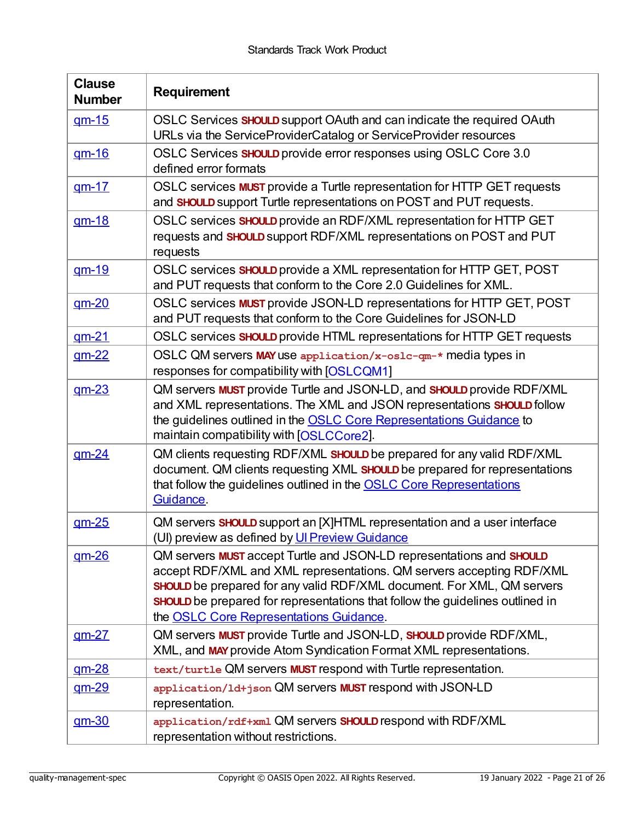<span id="page-20-0"></span>

| <b>Clause</b><br><b>Number</b> | <b>Requirement</b>                                                                                                                                                                                                                                                                                                                                                             |
|--------------------------------|--------------------------------------------------------------------------------------------------------------------------------------------------------------------------------------------------------------------------------------------------------------------------------------------------------------------------------------------------------------------------------|
| <u>qm-15</u>                   | OSLC Services <b>SHOULD</b> support OAuth and can indicate the required OAuth<br>URLs via the ServiceProviderCatalog or ServiceProvider resources                                                                                                                                                                                                                              |
| $qm-16$                        | OSLC Services <b>SHOULD</b> provide error responses using OSLC Core 3.0<br>defined error formats                                                                                                                                                                                                                                                                               |
| $qm-17$                        | OSLC services <b>MUST</b> provide a Turtle representation for HTTP GET requests<br>and SHOULD support Turtle representations on POST and PUT requests.                                                                                                                                                                                                                         |
| <u>am-18</u>                   | OSLC services SHOULD provide an RDF/XML representation for HTTP GET<br>requests and SHOULD support RDF/XML representations on POST and PUT<br>requests                                                                                                                                                                                                                         |
| <u>qm-19</u>                   | OSLC services SHOULD provide a XML representation for HTTP GET, POST<br>and PUT requests that conform to the Core 2.0 Guidelines for XML.                                                                                                                                                                                                                                      |
| <u>qm-20</u>                   | OSLC services <b>MUST</b> provide JSON-LD representations for HTTP GET, POST<br>and PUT requests that conform to the Core Guidelines for JSON-LD                                                                                                                                                                                                                               |
| $qm-21$                        | OSLC services SHOULD provide HTML representations for HTTP GET requests                                                                                                                                                                                                                                                                                                        |
| $gm-22$                        | OSLC QM servers MAY use application/x-oslc-qm-* media types in<br>responses for compatibility with [OSLCQM1]                                                                                                                                                                                                                                                                   |
| $gm-23$                        | QM servers <b>MUST</b> provide Turtle and JSON-LD, and <b>SHOULD</b> provide RDF/XML<br>and XML representations. The XML and JSON representations SHOULD follow<br>the guidelines outlined in the <b>OSLC Core Representations Guidance</b> to<br>maintain compatibility with [OSLCCore2].                                                                                     |
| $qm-24$                        | QM clients requesting RDF/XML SHOULD be prepared for any valid RDF/XML<br>document. QM clients requesting XML SHOULD be prepared for representations<br>that follow the guidelines outlined in the <b>OSLC Core Representations</b><br>Guidance.                                                                                                                               |
| $qm-25$                        | QM servers <b>SHOULD</b> support an [X]HTML representation and a user interface<br>(UI) preview as defined by Ul Preview Guidance                                                                                                                                                                                                                                              |
| $qm-26$                        | QM servers <b>MUST</b> accept Turtle and JSON-LD representations and <b>SHOULD</b><br>accept RDF/XML and XML representations. QM servers accepting RDF/XML<br><b>SHOULD</b> be prepared for any valid RDF/XML document. For XML, QM servers<br><b>SHOULD</b> be prepared for representations that follow the guidelines outlined in<br>the OSLC Core Representations Guidance. |
| <u>qm-27</u>                   | QM servers <b>MUST</b> provide Turtle and JSON-LD, <b>SHOULD</b> provide RDF/XML,<br>XML, and MAY provide Atom Syndication Format XML representations.                                                                                                                                                                                                                         |
| $gm-28$                        | text/turtle QM servers <b>MUST</b> respond with Turtle representation.                                                                                                                                                                                                                                                                                                         |
| $gm-29$                        | application/1d+json QM servers MUST respond with JSON-LD<br>representation.                                                                                                                                                                                                                                                                                                    |
| <u>am-30</u>                   | application/rdf+xml QM servers SHOULD respond with RDF/XML<br>representation without restrictions.                                                                                                                                                                                                                                                                             |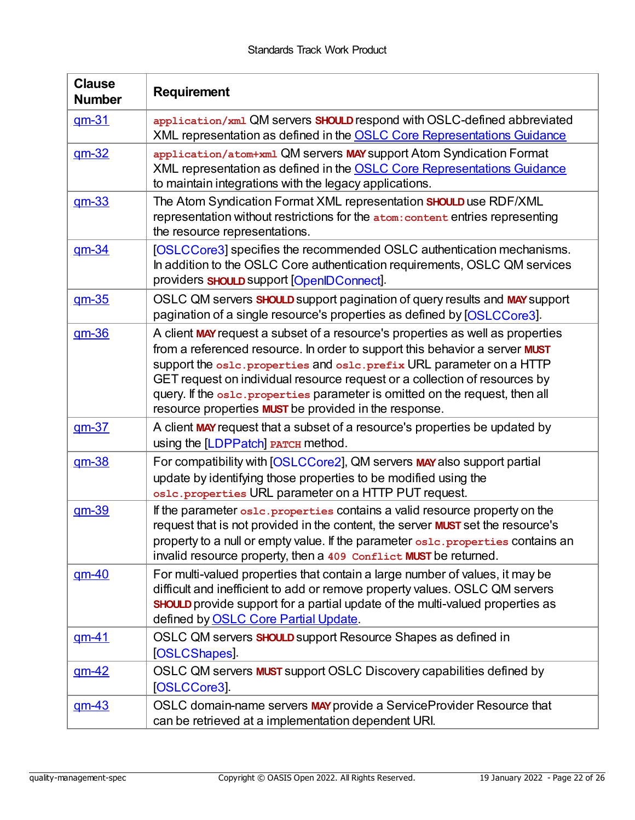| <b>Clause</b><br><b>Number</b> | <b>Requirement</b>                                                                                                                                                                                                                                                                                                                                                                                                                                                   |
|--------------------------------|----------------------------------------------------------------------------------------------------------------------------------------------------------------------------------------------------------------------------------------------------------------------------------------------------------------------------------------------------------------------------------------------------------------------------------------------------------------------|
| <u>qm-31</u>                   | application/xml QM servers SHOULD respond with OSLC-defined abbreviated<br>XML representation as defined in the <b>OSLC Core Representations Guidance</b>                                                                                                                                                                                                                                                                                                            |
| $qm-32$                        | application/atom+xml QM servers MAY support Atom Syndication Format<br>XML representation as defined in the <b>OSLC Core Representations Guidance</b><br>to maintain integrations with the legacy applications.                                                                                                                                                                                                                                                      |
| $qm-33$                        | The Atom Syndication Format XML representation SHOULD use RDF/XML<br>representation without restrictions for the atom: content entries representing<br>the resource representations.                                                                                                                                                                                                                                                                                 |
| <u>qm-34</u>                   | [OSLCCore3] specifies the recommended OSLC authentication mechanisms.<br>In addition to the OSLC Core authentication requirements, OSLC QM services<br>providers <b>SHOULD</b> support [OpenIDConnect].                                                                                                                                                                                                                                                              |
| <u>qm-35</u>                   | OSLC QM servers <b>SHOULD</b> support pagination of query results and MAY support<br>pagination of a single resource's properties as defined by [OSLCCore3].                                                                                                                                                                                                                                                                                                         |
| <u>qm-36</u>                   | A client MAY request a subset of a resource's properties as well as properties<br>from a referenced resource. In order to support this behavior a server MUST<br>support the oslc. properties and oslc. prefix URL parameter on a HTTP<br>GET request on individual resource request or a collection of resources by<br>query. If the oslc. properties parameter is omitted on the request, then all<br>resource properties <b>MUST</b> be provided in the response. |
| $qm-37$                        | A client MAY request that a subset of a resource's properties be updated by<br>using the [LDPPatch] PATCH method.                                                                                                                                                                                                                                                                                                                                                    |
| <u>qm-38</u>                   | For compatibility with [OSLCCore2], QM servers MAY also support partial<br>update by identifying those properties to be modified using the<br>os1c. properties URL parameter on a HTTP PUT request.                                                                                                                                                                                                                                                                  |
| <u>qm-39</u>                   | If the parameter oslc. properties contains a valid resource property on the<br>request that is not provided in the content, the server <b>MUST</b> set the resource's<br>property to a null or empty value. If the parameter oslc. properties contains an<br>invalid resource property, then a 409 Conflict MUST be returned.                                                                                                                                        |
| $gm-40$                        | For multi-valued properties that contain a large number of values, it may be<br>difficult and inefficient to add or remove property values. OSLC QM servers<br><b>SHOULD</b> provide support for a partial update of the multi-valued properties as<br>defined by OSLC Core Partial Update.                                                                                                                                                                          |
| <u>qm-41</u>                   | OSLC QM servers <b>SHOULD</b> support Resource Shapes as defined in<br>[OSLCShapes].                                                                                                                                                                                                                                                                                                                                                                                 |
| $gm-42$                        | OSLC QM servers MUST support OSLC Discovery capabilities defined by<br>[OSLCCore3].                                                                                                                                                                                                                                                                                                                                                                                  |
| <u>qm-43</u>                   | OSLC domain-name servers MAY provide a Service Provider Resource that<br>can be retrieved at a implementation dependent URI.                                                                                                                                                                                                                                                                                                                                         |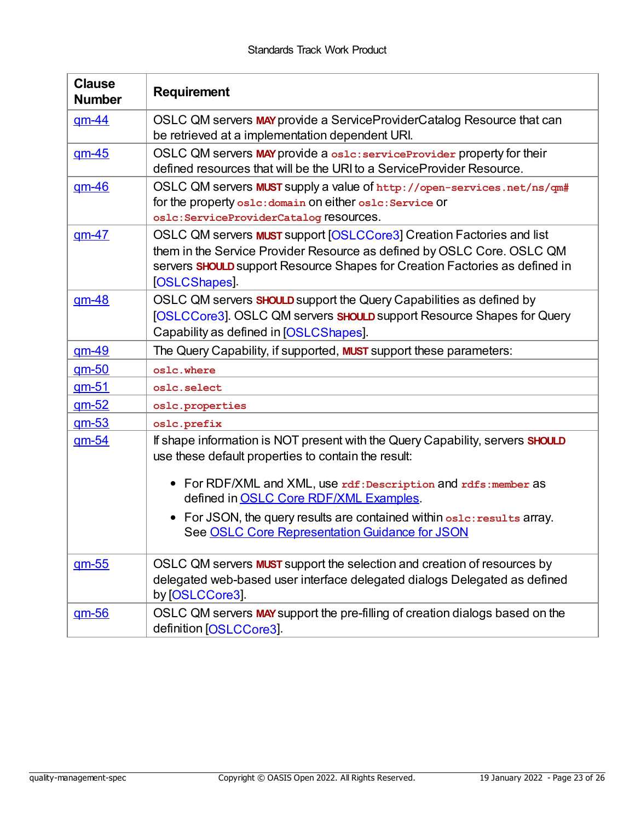| <b>Clause</b><br><b>Number</b> | <b>Requirement</b>                                                                                                                                                                                                                                                 |
|--------------------------------|--------------------------------------------------------------------------------------------------------------------------------------------------------------------------------------------------------------------------------------------------------------------|
| <u>qm-44</u>                   | OSLC QM servers MAY provide a ServiceProviderCatalog Resource that can<br>be retrieved at a implementation dependent URI.                                                                                                                                          |
| $gm-45$                        | OSLC QM servers MAY provide a oslc: serviceProvider property for their<br>defined resources that will be the URI to a ServiceProvider Resource.                                                                                                                    |
| $qm-46$                        | OSLC QM servers MUST supply a value of http://open-services.net/ns/qm#<br>for the property oslc: domain on either oslc: Service Or<br>oslc: ServiceProviderCatalog reSOUrCeS.                                                                                      |
| $qm-47$                        | OSLC QM servers <b>MUST</b> support [OSLCCore3] Creation Factories and list<br>them in the Service Provider Resource as defined by OSLC Core. OSLC QM<br>servers <b>SHOULD</b> support Resource Shapes for Creation Factories as defined in<br><b>OSLCShapes</b> . |
| $gm-48$                        | OSLC QM servers <b>SHOULD</b> support the Query Capabilities as defined by<br>[OSLCCore3]. OSLC QM servers <b>SHOULD</b> support Resource Shapes for Query<br>Capability as defined in [OSLCShapes].                                                               |
| <u>am-49</u>                   | The Query Capability, if supported, <b>MUST</b> support these parameters:                                                                                                                                                                                          |
| $gm-50$                        | oslc.where                                                                                                                                                                                                                                                         |
| <u>am-51</u>                   | oslc.select                                                                                                                                                                                                                                                        |
| $qm-52$                        | oslc.properties                                                                                                                                                                                                                                                    |
| $gm-53$                        | oslc.prefix                                                                                                                                                                                                                                                        |
| $gm-54$                        | If shape information is NOT present with the Query Capability, servers <b>SHOULD</b><br>use these default properties to contain the result:                                                                                                                        |
|                                | • For RDF/XML and XML, use rdf: Description and rdfs: member as<br>defined in <b>OSLC Core RDF/XML Examples</b> .                                                                                                                                                  |
|                                | • For JSON, the query results are contained within osle: results array.<br>See OSLC Core Representation Guidance for JSON                                                                                                                                          |
| $gm-55$                        | OSLC QM servers <b>MUST</b> support the selection and creation of resources by<br>delegated web-based user interface delegated dialogs Delegated as defined<br>by [OSLCCore3].                                                                                     |
| <u>am-56</u>                   | OSLC QM servers MAY support the pre-filling of creation dialogs based on the<br>definition [OSLCCore3].                                                                                                                                                            |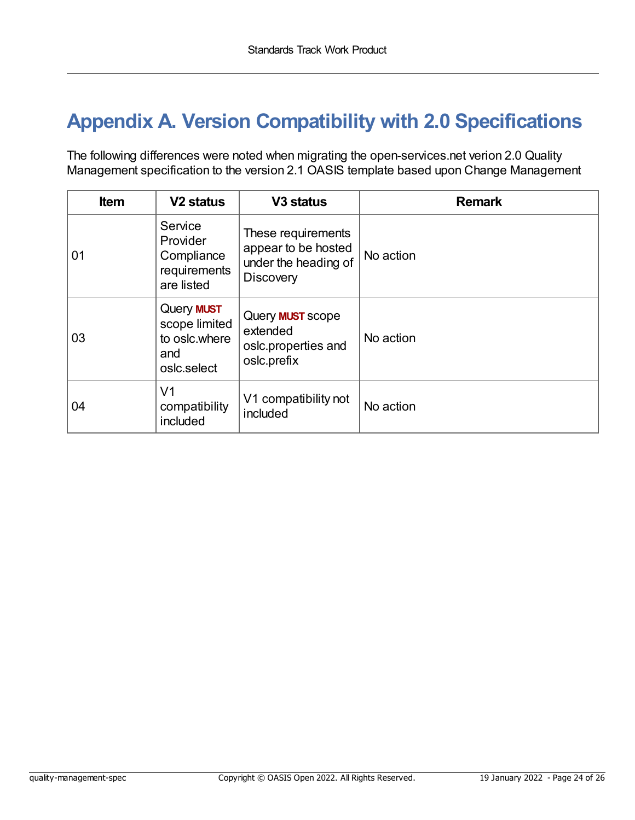## <span id="page-23-0"></span>**Appendix A. Version Compatibility with 2.0 Specifications**

The following differences were noted when migrating the open-services.net verion 2.0 Quality Management specification to the version 2.1 OASIS template based upon Change Management

| <b>Item</b> | V <sub>2</sub> status                                                     | V <sub>3</sub> status                                                                 | <b>Remark</b> |
|-------------|---------------------------------------------------------------------------|---------------------------------------------------------------------------------------|---------------|
| 01          | Service<br>Provider<br>Compliance<br>requirements<br>are listed           | These requirements<br>appear to be hosted<br>under the heading of<br><b>Discovery</b> | No action     |
| 03          | Query <b>MUST</b><br>scope limited<br>to oslc.where<br>and<br>oslc.select | Query <b>MUST</b> scope<br>extended<br>oslc.properties and<br>oslc.prefix             | No action     |
| 04          | V <sub>1</sub><br>compatibility<br>included                               | V1 compatibility not<br>included                                                      | No action     |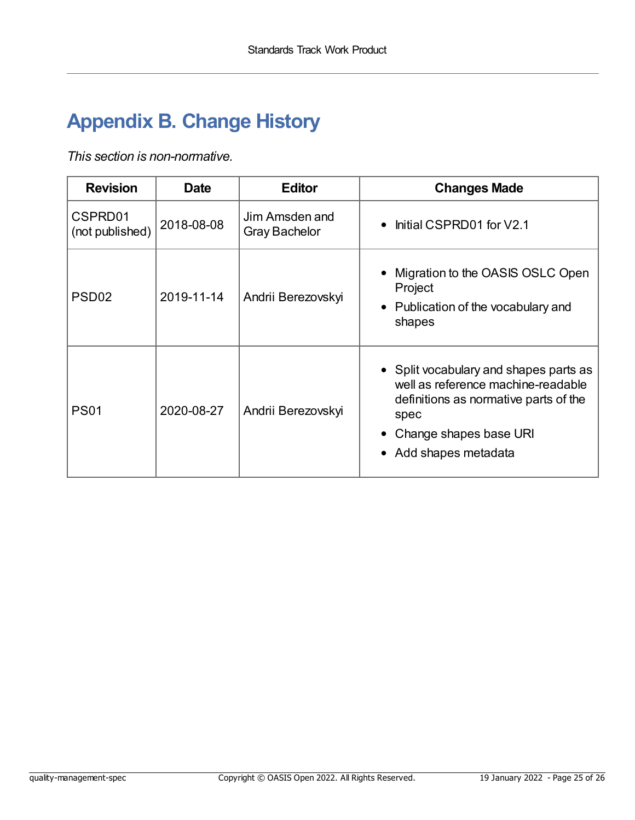## <span id="page-24-0"></span>**Appendix B. Change History**

*This section is non-normative.*

| <b>Revision</b>            | <b>Date</b> | <b>Editor</b>                          | <b>Changes Made</b>                                                                                                                                                              |
|----------------------------|-------------|----------------------------------------|----------------------------------------------------------------------------------------------------------------------------------------------------------------------------------|
| CSPRD01<br>(not published) | 2018-08-08  | Jim Amsden and<br><b>Gray Bachelor</b> | Initial CSPRD01 for V2.1<br>$\bullet$                                                                                                                                            |
| PSD <sub>02</sub>          | 2019-11-14  | Andrii Berezovskyi                     | Migration to the OASIS OSLC Open<br>Project<br>• Publication of the vocabulary and<br>shapes                                                                                     |
| <b>PS01</b>                | 2020-08-27  | Andrii Berezovskyi                     | • Split vocabulary and shapes parts as<br>well as reference machine-readable<br>definitions as normative parts of the<br>spec<br>Change shapes base URI<br>• Add shapes metadata |